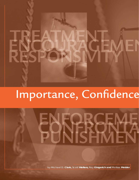# Importance, Confidence

by Michael D. **Clark,** Scott **Walters,** Ray **Gingerich and** Melissa **Metzler**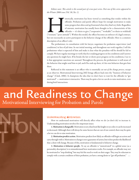Editors note: This article is the second part of a two-part series. Part one of this series appeared in the Winter 2006 issue (Vol. 30, No. 1).

istorically, motivation has been viewed as something that resides within the<br>offender. Probation and parole officers hope for enough motivation to make<br>some progress but often end up frustrated when they find very little. offender. Probation and parole officers hope for enough motivation to make some progress but often end up frustrated when they find very little. Regardless of amount, motivation has usually been thought to be a characteristic of the offender — it's theirs to give ("cooperative," "workable") or theirs to withhold ("resistant," "poor attitude"). Within this model, the officer becomes an enforcer of a legal contract, but not necessarily an active participant in the behavior change of the offender. Here is a common description of an officer's role:

The probationer, in consultation with his lawyer, negotiates for probation supervision (and conditions) in lieu of jail time. In our initial meeting, and throughout our work together, I tell the probationer what is expected of him and make it clear what the penalties will be should he fail to comply. We have regular meetings to verify that he is making progress on his conditions and I answer any questions he might have. If he breaks the law or shows poor progress on his conditions, I see to it that appropriate sanctions are assessed. Throughout the process, the probationer is well aware of the behavior that might send him to jail, and if he ends up there, it's his own behavior that gets him there.

Reflected in this statement is an officer who is essentially *cut out of the change process*, except as an observer. Motivational Interviewing (MI) brings officers back into the "business of behavior change" (Clark, 2006). It champions the idea that we don't have to wait for the offender to "get motivated" — motivation is interactive. There may be quite a lot we can do to raise motivation, even during brief interactions.

# and Readiness to Change Motivational Interviewing for Probation and Parole

#### **Understanding Motivation**

How we understand motivation will directly affect what we do (or don't do) to increase it. Understanding motivation involves five important issues:

1. Motivation is changeable. Motivation is not a fixed trait like height or eye color; it can be increased or decreased. Although there will always be some factors that are out of our control, there may be quite a lot we can do to raise motivation.

2. Motivation predicts action. Motivation predicts how likely an offender will begin an action and carry through with it. Motivation to change is not a guarantee of action, but it does predict the likelihood that a client will change. Because of this, motivation is fundamental to behavior change.

3. Motivation is behavior-specific. To say an offender is "unmotivated" in a global sense (as a personality description) is to misunderstand how motivation works. For example, an offender may not be motivated to "stop drinking" but may feel the need to work on their anger. They may be reluctant to comply with a certain condition of their probation, yet have a strong desire to "get off probation."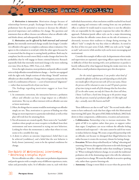*4. Motivation is interactive.* Motivation changes because of relationships between people. Exchanges between the officer and probationer have the potential to increase or decrease the offender's perceived importance and confidence for change. The questions and statements that an officer chooses can influence what an offender talks and thinks about, and subsequently how he behaves.

*5. Motivation can be aff ected by both internal and external factors,* but internally motivated change usually lasts longer. Consider two offenders who agree to complete a substance abuse evaluation. One agrees to the evaluation to avoid jail, while the other agrees because he is concerned that his drug use is causing family problems. Both may be compliant, but the second is more likely to make changes that lower the probability that he will engage in future criminal behavior. Research repeatedly finds that internally motivated change is far more enduring over time (Deci & Ryan, 1985; Viets, et al., 2002).

Given the right situation, most probation and parole officers would strive to help offenders towards behavior change, - but few are equipped with the right tools. Simple notions of what things "should" motivate offenders are often insufficient. Change, when it happens, seems to be the result of a combination of factors — a sort of motivational "alignment" — rather than increased levels of just one factor.

The findings regarding motivation suggest at least four conclusions<sup>1</sup>:

- 1. In community corrections, the interaction between a probation officer and offender can have a large impact on a offender's motivation. The way an officer interacts with an offender can raise or lower motivation.
- 2. Often, the things that we assume would be motivating to an offender simply are not. Thus, motivation is a process of finding out what things are most important to a particular individual, as well as what plan will work best for attaining them.
- 3. Not all moments are created equally. There seem to be "teachable" windows where people are more receptive to feedback from their environment and more interested in trying out new behaviors. Looking for where the momentum is, rather than where it is not, seems to be a sensible first step.
- 4. A desire to achieve an outcome (importance), belief that it can be achieved (confidence), and a belief that the new behavior is freely chosen (autonomy), seem to be the optimal conditions for change.

### **The Spirit Of Motivational Interviewing – Embracing a helpful style**

No two offenders are alike — they enter our probation departments and parole agencies with a complex array of different experiences, traits, values and personality styles. So if offenders come in, each with their individual characteristics, what conclusion could be reached if one heard mainly arguing and resistance talk coming from any one probation office or cubicle? It would stand to reason that it is not the offenders who are responsible for the negative responses but rather the officer's approach. Probation/parole officer style can be a major determining factor whether the offender comes down on the side of resistance, or alternately, increases their readiness to change during meetings. An officer's "style" is simply the way they relate to offenders. As noted in the first of this two-part series (Clark, 2006) one style can be "toughas-nails" and coercive while another style can be more encouraging and motivational.

Consider this example of officer style. In departments where intake and supervision are separated, supervising officers report that the ease or difficulty of their first meeting with a new probationer or parolee is heavily influenced by what happened during the intake interview. An officer from a small probation department gave this description:

For the initial appointment, I can predict what kind of attitude the offender will show up with depending on which of the two intake officers this person met with. If I see one name, I know the person will be reluctant to come in and I'll spend a portion of my time trying to undo all of the damage that has been done. If I see the other name, not only do I know the client will show, I know I will have a hard time living up to the positive image that this person created of a probation officer. It's like night and day—actually, more like heaven and hell!

These differences are due to staff "style." The second intake officer seems to have embraced a style that best aligns with this Motivational Interviewing (MI) spirit. The spirit of MI (Miller & Rollnick, 2002) boils down to three components, collaboration, evocation and autonomy:

- **Collaboration.** Partnership is key to increase motivation. This spirit of MI is to explore rather than press, to support rather than argue. Compliance can occur without the offender feeling understood and respected — the same cannot be said if one wants to induce behavior change. We create a respectful partnership with an offender, not because we disregard their illegal behaviors, but rather because it creates the necessary climate for lasting change.
- **Evocation.** We have always relied heavily on "telling," educating and  $\mathbf{H}$ reasoning. However, this approach has more to do with eliciting and "pulling out" from the offender rather than installing or "putting in." When working for behavior change, we set aside the traditional probation role of the dominating expert who tells the submissive recipient how to change. We want the offender in an active-speaking role, rather than a passive-listening role.
- **Autonomy.** Change is more likely to occur when the person feels **•**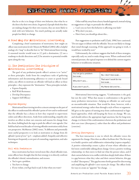that he or she is in charge of their own behavior, that what he or she does is by their own choice. In general, if people think that they are making changes for their own reasons, they are more likely to stick with new behaviors. Too much pushing can actually make people less likely to change.

#### **A Road Map For Motivational Interviewing**

Completing a brief examination of motivation, how might an officer raise motivation levels? Moyers & Waldorf (2004) offer a helpful analogy of a "map" to describe how to "do" Motivational Interviewing. A seasoned traveler would want to (1) pick a destination, (2) use a roadmap to decide directions and (3) be attentive to potential trouble spots along the way.

### **(1). The Destination: The Principles of Motivational Interviewing**

The goal of any probation/parole officer's actions is to "arrive" at these principles. Aside from the compliance tasks of gathering information and documenting adherence to court or parole board orders, any efforts to motivate an offender will land an officer at these principles—they represent the "destination." These principles include:

- Express Empathy
- Roll With Resistance
- Develop Discrepancy •
- Support Self-Efficacy

#### **Express Empathy**

Motivational Interviewing involves a sincere attempt on the part of the officer to understand the offender's point of view and to understand that the offender has a choice in how they respond to supervision orders and officer directions. Aside from understanding, empathy also involves an effort to draw out concerns and reasons for change from the client, holding back the urge to push the officer's own agenda. Our field has had several decades of viewing offender motivation solely from our perspective. McMurran (2002) notes, "A different and potentially more useful perspective is to look at motivation to change from the offender's point of view" (p.5 – emphasis added). Empathy and reflective listening are frequently a core part of counseling, negotiation, and sales techniques.

#### **Roll with Resistance**

Since motivation has been viewed more like a fixed offender trait, some officers have thought that the best strategy is to directly confront the offender's denial, rationalization, and excuses.

- You've got a problem. •
- You have to change.
- If you violate, you'll go back to jail. Is that what you want? •

Other staff shy away from a heavy-handed approach, instead relying on suggestions or logic to persuade the offender.

- Can't you see how this behavior is affecting your kids?
- Why don't you just… •
- Here's how you should go about this… •

Past suggestions to probation staff (Clark, 1996) have cautioned, "Do not argue or debate with the offender. You are not likely to change their mind through reasoning. If this approach was going to work, it would have worked by now."

Unfortunately, the evidence suggests that both of these strategies, especially early on, tend to make things worse. When confronted with external pressure, the typical response is to defend the current negative behavior or troublesome situation.

| <b>Officer Confronts</b>        | Offender Resists                  |  |
|---------------------------------|-----------------------------------|--|
| You've got a problem<br>because | No, I don't because               |  |
| Why don't you                   | That won't work for me<br>because |  |
| If you don't you'll             | My friend did and he              |  |

Motivational Interviewing suggests, "Confrontation is the goal, but not the style." What that means is confrontation is the goal for many probation interactions—helping an offender see and accept an uncomfortable situation. That would be done, however, with a motivational strategy rather than through a style of force or argument. MI gives us the option of turning away from confrontational or logicbased approaches, while still keeping the focus on change. We can, and should enforce the appropriate legal sanctions, but for long-term change, it is better if the confrontation is between the probationer and their own issues (discrepancy), rather than the officer and probationer (coercion).

#### **Develop Discrepancy**

The best interaction is one in which the offender voices the arguments for change. How does an officer facilitate this? The first step is to build a positive and collaborative relationship (express empathy). A positive relationship creates a place of trust where offenders can feel more comfortable talking about change. Given a positive working relationship, we then move to find out what the person values, and if their current behavior is in conflict with these deeply-held values. If there is a gap between what they value and their current behavior, this gap is called "discrepancy." This gap becomes fertile ground for discovering and amplifying the offender's own reasons for change. The officer looks for ways to create an "appetite" for change.  $\Box$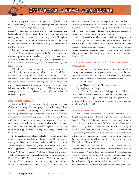Considering the Stages of Change theory (Prochaska & DiClemente, 1983), some offenders will enter probation or parole in the precontemplation stage, not believing that there is any reason to change. A few more enter supervision in the preparation or action stage, having acknowledged the problem during the first appointment and needing only minimal assistance to begin change efforts. Throughout this process, ambivalence is an internal battle between "I want to do this, but I know I shouldn't." These mixed feelings are a normal part of the change process.

Staff have long been taught to see ambivalence as a classic form of "denial," yet for the motivationally-inclined officer it demonstrates a reason for optimism! Rather than being a sign that a person is moving away from change, ambivalence is a signal that change may be on the horizon. Ambivalence makes change possible — it is the precursor to positive behavior change.

Offenders can change if they can successfully negotiate this ambivalence. The balance tips to one side or the other. The challenge therefore, is to identify and call attention to this ambivalence. There will be a small percentage of offenders who have no ambivalence around their current behavior. However, the large majority of offenders will enter our departments with a certain amount of concern regarding their behavior (if only about the legal consequences). Where the discrepancy goes depends on whether an officer recognizes and uses it to elicit selfmotivational speech.

#### **Support Self-Efficacy**

Part of motivation is an estimate of how likely we are to succeed if we wanted to change. Obviously, people who are discouraged about their chances are less likely to attempt change. If you've raised someone's value of importance to change by negotiating ambivalence and invoking a discrepancy in their thinking, change is still not certain. Even if you've found the importance to change, you remain stuck if you have no confidence in your abilities to carry out the change. For this reason, we go out of our way to remind the offender of personal strengths and resources, and support him or her through encouraging statements and finding past successes.

In the face of so many problems and failures by offenders, how does the officer find optimism to believe in the offender's ability to change and help the offender to believe in themselves as well? Many probation and parole departments are turning to a more positive, constructive way of solving problems. The Strengths Perspective (Saleebey, 1997) and Positive Psychology (Seligman, 1998) first developed in the fields of social work and psychology have made the transition into juvenile justice (Clark, 1996, 1998; Kurtz & Linnemann, 2006), adult community corrections (Clark, 1997) and prisoner reentry programming (Maruna & Lebel, 2003; Burnett & Maruna, 2006). This approach seeks to

find a better balance of amplifying strengths rather than a sole focus on repairing weakness and fixing flaws. Community corrections has long been concerned with uncovering a person's deficits, weaknesses, and problems. For so many offenders, their talents and abilities go unrecognized — and more importantly — unused.

Many offenders have developed survival skills that run opposite to what they might need to achieve. For example, the skills and behaviors that makes up a "good" parolee or probationer often fall under the category of compliance and "giving in" — yet compliant behaviors are rarely associated with achievement or growth, which often involve taking some risks and demonstrating personal choice and initiative (Rapp, 1998).

### **(2). Roadmap—Directions for Reaching the Destination**

There are often many routes to arrive at the same destination. Plotting a course occurs with strategies and techniques, in much the same way as a driver decides which direction to take when faced with the many turns and forks in the road. A motivational roadmap includes:

- Decisional Balance •
- Eliciting "Change Talk" (Self-Motivational Speech) •
- Preparing People for Change •

These "directions" keep the issues of change in focus. Bill Miller notes, "In most instances, people talk a little bit about changing, then a little bit about not changing and then they stop talking about change. Motivational Interviewing is a method for keeping change talk on the front burner."(Miller, 2003)

#### **Decisional Balance**

There is a common sense view of motivation in that offenders do things because they perceive them as being better in some way than not doing them (West, 1989). From this position, it is easy to see motivation as a decision-making process. In this "What's in it for me?" approach, offenders will try to anticipate whether a course of action is likely to be useful to them before they act, assessing both the positive and the negative consequences of a behavior. When individuals are confronted with two or more options, they will select the one that, relative to the other options, will provide the most benefit at the least cost (von Winterfeldt & Edwards, 1986).

The "Decisional Balance Sheet" can be a helpful tool for understanding the thinking, emotional, and motivational aspects of decision-making. With this decisional balance tool, the gains of starting a behavior change are contrasted with the costs of not undertaking the change. Decisional balance is a comparative model because it is not the total number of gains and losses that influences the decision but the number of gains and losses in relation to each other. What "tips"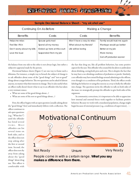| Sample Decisional Balance Sheet - "my alcohol use" |                             |                           |                             |
|----------------------------------------------------|-----------------------------|---------------------------|-----------------------------|
| Continuing On As Before                            |                             | Making a Change           |                             |
| <b>Benefits</b>                                    | Costs                       | Costs                     | <b>Benefits</b>             |
| Helps me relax                                     | Spouse gets mad             | Won't have a way to relax | Family would trust me again |
| Feel like I fit in                                 | Spend all my money          | What about my friends?    | Marriage would go better    |
| Don't worry about my bills                         | Ended up here at this court | Life will be boring       | Better at my job            |
| Love the buzz                                      | Suspended from my job       |                           | More money                  |
|                                                    |                             |                           | Get off probation sooner    |

the balance from one side to the other is not always logic, but rather a subjective appraisal made by the person.

Decisional balance sheets (Figure 1) are one way to frame such a dilemma. For instance, a simple way to broach the subject of change is to ask offenders about some of the "good things" and "not-so-good" things about a target behavior. The two questions can be asked of almost anyone, no matter what their interest in change. They're also useful when an officer really doesn't know what to say to an offender who has taken a very resistant stance.

- What are some of the good things about…? •
- What are some of the not-so-good things about…? •

First, the officer begins with an open question (usually asking about the "good things" first) and immediately follows with a reflection. The officer continues to

the fact that drug use, like all problem behaviors, has some positive aspects for the user. This offender who created the list above is ambivalent about drinking, seeing both pros and cons. This is despite the fact that he may have a no-drinking condition of probation or parole. Similarly, a sex offender may have mixed feelings around admitting to the offense, even though it is a condition of his probation. Third, the officer avoids labeling the behavior or using this exercise as a way to bully the offender into change. The questions invite the offender to talk on both sides of the issue; we strategically prompt the offender to give both sides of the argument.

In community corrections, it is important to be able to appreciate how internal and external forces work together to facilitate positive behavior. Because we work with a mandated population, change might begin because of external pressure (e.g., conditions of supervision),  $\log$ 

ask open questions (e.g., "What else?") until the offender has listed several it e m s. M o st offenders can list several items on both sides, and so the officer does not stop asking after the first or second item. Second, the officer does not shy away from asking about the "good things" about drug use. This officer is comfortable with

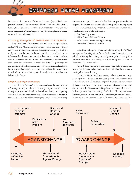but later can be continued for internal reasons (e.g., offender sees personal benefits). The process would ideally look something like, "I have to, I need to, I want to." Officers can choose to use strategies that moves change to the "inside" or just as easily allow compliance to remain pressure-driven and superficial.

#### **Eliciting "Change Talk" (Self-Motivational Speech)**

People can literally "talk themselves in and out of change" (Walters, et al., 2002) and MI-inclined officers turn to skills that elicit "change talk." There are linguistic studies that suggest that the speech of the staff person sets the tone for the speech of the client, which in turn, influences the ultimate outcome (Amrhein, et. al., 2003). In short, certain statements and questions—and especially a certain officer style—seem to predict whether people decide to change during brief conversations. Offenders may come in with a certain range of readiness, but what the officer says from that point on makes a difference in how the offender speaks and thinks, and ultimately, in how they choose to behave in the future.

#### **Preparing People for Change**

The old adage, "You can't make a person change if they don't want to," is only partially true. In fact, there may be quite a lot you can do to prepare people to find a job, address chaotic family life, or give up substance abuse. The art lies in getting people to want to make changes in these areas. Frequently, officers want to jump straight to problem solving.

However, this approach ignores the fact that most people need to be prepared for change. This section talks about specific ways to prepare people to think about change. Motivational Interviewing trains staff in basic listening and speaking strategies:

- Ask Open Questions. •
- Affirm Positive Talk and Behavior
- Reflect What You are Hearing or Seeing
- Summarize What has Been Said

These four techniques (sometimes referred to by the "OARS" acronym, for Open Questions, Affirm, Reflect, and Summarize) get an offender thinking about change, and help us to gather better quality information so we can assist the person in planning. They become an "accelerator" for conversations.

Figure 3 illustrates some of the markers that help to determine whether the interaction is a good one, that is, whether the offender is moving closer towards change.

Training in Motivational Interviewing offers instruction in ways of using these techniques to strategically steer a conversation in a particular direction. However, steering in itself is worthless without the ability to move the conversation forward. Many officers are dominating discussions with offenders and talking themselves out of effectiveness. Video-tape research (Clark, 2005) of offender/ officer appointments find many officers far "out-talk" offenders in short (15 minute) sessions. For example, in one particular session, there were 2,768 words spoken

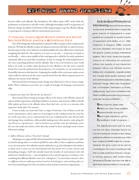between officer and offender. The breakdown? The officer spoke 2,087 words while the probationer was limited to only 681 words. Although listening by itself is no guarantee of behavior change, the ability to both listen while using strategies to get the offender talking, is a prerequisite to being an effective motivational interviewer.

#### **(3) Potential Trouble Spots: Enforce Orders And Deliver Sanctions Without Leaving A Motivational Style**

One of the things that make probation and parole officers unique is their conspicuously dual role. We help the offender to plan, but dispense sanctions if he fails; we ask for honesty, but also report to the court. Indeed, it is understandable why some officers have a hard time navigating this dual role. The tendency is to move to one side — to become too harsh or too friendly — when a more middle-of-the-road approach is called for. In reality, probation and parole officers are more like consultants, in that we manage the relationship between the court or paroling authority and the offender. This is not as far-fetched as some would believe. In truth, we neither make decisions for the offender or for the court or parole board. If we treat the position from the perspective of a consultant, we can avoid some of the pitfalls inherent in this dual role. Adopting this middle-of the-road stance makes us not only an effective advocate for the court or parole board, but also allows us greater power to influence the actions of the offender.

Motivational Interviewing can make change more likely, but it is by no means a magic bullet. When violations occur, there are a couple of strategies for keeping a motivational edge.

#### 1. Explain your dual roles (Become the "go-between")

Motivational Interviewing encourages officers to be honest with offenders about all aspects of their supervision, including conditions, incentives, and sanctions. Officers should fully explain up front to the offender about their dual role—yet do so as someone who represents "both sides." For instance:

I want to make you aware that I have a couple of roles here. One of them is to be the court's representative, and to report on your progress on the conditions that the court has set. At the same time, I act as a representative for you, to help keep the court off your back and manage these conditions, while possibly making some other positive steps along the way. I'll act as a "go-between"—that is, between you and the court, but ultimately you're the one who makes the choices. How does that sound? Is there anything I need to know before proceeding?

#### 2. Address Behavior with an "Even Keel" Attitude

Adopting a new approach like Motivational Interviewing is clearly a process. Even after an initial training, there is a common pitfall for many officers when compliance problems occur. At some point, if an offender remains ambivalent (e.g., lack of progress), they believe it makes sense to move out of a motivational style and switch over to more coercive and demanding strategies. Staff who initially found the benefits of motivational work will justify heavy-handed tactics — perceiving them to be a natural response to resistance, even remarking that difficult offenders seem to be "asking for it." A critical idea is missed—there is a difference between enforcing sanctions based on lack of progress, and switching styles to a more heavy handed approach. One can enforce orders and assess sanctions as appropriate,  $\log$ 

Early studies of Motivational Interviewing attracted intense interest, as they were sometimes able to match the same amount of improvement in single sessions as compared to several months of outpatient work (Miller, et al., 1980; Chapman & Huygens, 1998). Linguists became interested and began to study the speech content of these motivational sessions. This is what makes this linguistic research so interesting for probation efforts—the majority of any interaction between officer and offender involves talking and conversation. Linguists studied the actually words spoken between staff and client that proved to determine positive behavior change. What they found were five conversation dimensions of desire, ability, reason, need and commitment talk. These conditions were placed in an easy-toremember acronym of DARN-C:

> **D**esire (I want to, prefer, wish) **A**bility(I can, able, could, possible) **R**easons (I should, why do it?) **N**eed (I must, importance, got to) **C**ommittment (I will, I'm going to…)

The researchers were quick to point out that not every dimension had to be voiced for behavior change to start. Simply getting the offender to verbalize one of the four constructs (DARN) might be enough. However, the same could not be said for Commitment—for it was Commitment talk that actually predicted behavior change. In training sessions, staff review these dimensions at length and learn the skills to elicit these important kinds of change talk.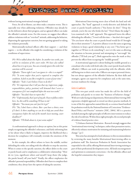without leaving motivational strategies behind.

Force, for all its bluster, can often make a situation worse. This is especially true when addressing violations. Offenders may already be on the defensive about their progress, and an agitated officer can make the offender's attitude worse. For this reason, we suggest that officers address violations with an "even keel" attitude, addressing the behavior, dispensing the appropriate sanction, but not getting agitated or taking the violation personally.

Motivationally-inclined officers offer their support  $-$  and their regrets — to the offender who might be considering a violation of the conditions of supervision:

PO: We've talked about this before. In another two weeks, you will be in violation of this court order. We have also talked about how it is up to you. You can certainly ignore this order but sanctions will be assessed.

Offender: "Darn right I can I can ignore it-this is so stupid!" PO: "It seems unfair that you're required to complete this condition. It feels to you like it might be a waste of your time." Offender: "Yeah. I can't believe I have to do this!"

PO: "It's important that I tell you that my (supervisor, judge, responsibilities, policy, position) will demand that I assess a consequence if it's not completed before the next two weeks." Offender: "You don't have to report this."

PO: "Unfortunately, that's part of my job. I have to follow orders here. So, this will be something I'll have to do."

Offender: "You mean you can't just let it go?"

PO: "No, I don't have a choice. But—you have a choice, even if I don't. Is there anything we can do to help you avoid these consequences before the end of the month (next meeting, court deadline)?"

Offender: "I'll think about it, it just seems unfair."

A confrontational approach is always an option, but at this point simply recognizing the offender's reluctance, and fairly informing him or her about what is likely to happen, improves the likelihood that a decision for compliance will eventually overtake the emotions of the moment.

In this example, the officer refuses to leave the middle, neither defending the order, nor siding with the offender to stop the sanction. When it comes to the specific sanction, the officer defers to the court or parole board, and re-emphasizes a collaborative relationship: "How do we (you, significant others and myself ) keep them (the judge, the parole board) off your back?" Finally, the officer emphasizes the offender's personal responsibility. Offenders don't have to complete their conditions; they always have the option of taking the sanction.

Motivational Interviewing steers clear of both the hard and soft approaches. The "hard" approach is overly-directive and defends the court or parole board's authority ("You better do this!," "Drop the attitude, you're the one who broke the law," "Don't blame the judge"). Less examined is the "soft" approach. This approach leaves the officer defending the offender, ("I won't tell this time - but don't do it again," "Do you know what the court or parole board would do if I brought this to their attention?"). A positive alliance is not the same as ignoring violations to keep a good relationship at any cost ("You better get it together or I'll have to do something"), nor is it the same as allowing the situation to become personal and attempting to "out-tough" the offender ("I'll lock you up!"). Both approaches miss the mark as they prevent the officer from occupying the "middle ground."

A motivational approach is about finding the middle ground as a consultant who works with both sides (the court/parole board and the offender). Officers can work in partnership with the offender, while still being true to their court roles. Officers can respect personal choice, but not always approve of the offender's behavior. By their skills and strategies, agents can supervise for compliance and, at the same time, increase readiness for change.

#### **Conclusion**

This two-part article series has made the call for the field of probation and parole to re-enter the "business of behavior change." With new tasks facing our departments, Motivational Interviewing (MI) represents a helpful approach to retool our direct practice methods. It is one of the few approaches named directly as a science-based method for probation work by the National Institute of Corrections "Evidence-Based Policy and Practice" initiative (NIC, 2004). MI is a practice included among the eight principles of effective interventions to reduce the risk of recidivism. Within these eight principles, the second principle of evidence-based practice cites:

"2. Enhance Intrinsic Motivation - Research strongly suggests that "motivational interviewing" techniques, rather than persuasion tactics, effectively enhance motivation for initiating and maintaining behavior change." (p.1)

This series has attempted to lend substance to this recommendation by reviewing the many benefits Motivational Interviewing offers to probation staff. The American Probation & Parole Association has responded to the call by offering Motivational Interviewing training as part of their professional development series. All lends encouragement and optimism to community corrections—for the offender, officer and the hopeful communities they impact.